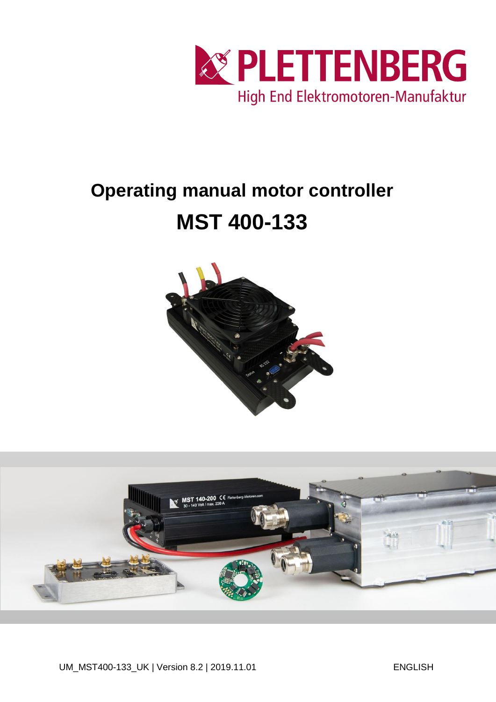

# **Operating manual motor controller MST 400-133**



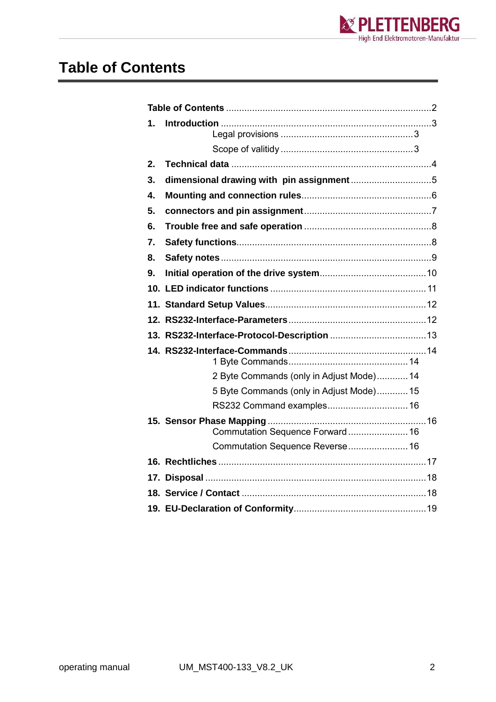

### <span id="page-1-0"></span>**Table of Contents**

| 1. |                                          |
|----|------------------------------------------|
|    |                                          |
| 2. |                                          |
| 3. |                                          |
| 4. |                                          |
| 5. |                                          |
| 6. |                                          |
| 7. |                                          |
| 8. |                                          |
| 9. |                                          |
|    |                                          |
|    |                                          |
|    |                                          |
|    |                                          |
|    |                                          |
|    | 2 Byte Commands (only in Adjust Mode) 14 |
|    | 5 Byte Commands (only in Adjust Mode) 15 |
|    | RS232 Command examples 16                |
|    | Commutation Sequence Forward 16          |
|    | Commutation Sequence Reverse 16          |
|    |                                          |
|    |                                          |
|    |                                          |
|    |                                          |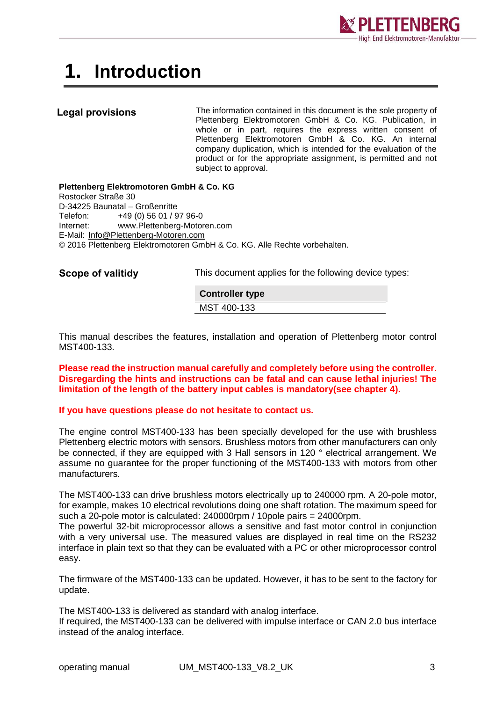

# <span id="page-2-0"></span>**1. Introduction**

#### <span id="page-2-1"></span>**Legal provisions**

The information contained in this document is the sole property of Plettenberg Elektromotoren GmbH & Co. KG. Publication, in whole or in part, requires the express written consent of Plettenberg Elektromotoren GmbH & Co. KG. An internal company duplication, which is intended for the evaluation of the product or for the appropriate assignment, is permitted and not subject to approval.

**Plettenberg Elektromotoren GmbH & Co. KG** Rostocker Straße 30 D-34225 Baunatal – Großenritte Telefon: +49 (0) 56 01 / 97 96-0 Internet: www.Plettenberg-Motoren.com E-Mail: [Info@Plettenberg-Motoren.com](mailto:Info@Plettenberg-Motoren.com) © 2016 Plettenberg Elektromotoren GmbH & Co. KG. Alle Rechte vorbehalten.

<span id="page-2-2"></span>**Scope of valitidy**

This document applies for the following device types:

**Controller type** MST 400-133

This manual describes the features, installation and operation of Plettenberg motor control MST400-133.

**Please read the instruction manual carefully and completely before using the controller. Disregarding the hints and instructions can be fatal and can cause lethal injuries! The limitation of the length of the battery input cables is mandatory(see chapter 4).**

#### **If you have questions please do not hesitate to contact us.**

The engine control MST400-133 has been specially developed for the use with brushless Plettenberg electric motors with sensors. Brushless motors from other manufacturers can only be connected, if they are equipped with 3 Hall sensors in 120 ° electrical arrangement. We assume no guarantee for the proper functioning of the MST400-133 with motors from other manufacturers.

The MST400-133 can drive brushless motors electrically up to 240000 rpm. A 20-pole motor, for example, makes 10 electrical revolutions doing one shaft rotation. The maximum speed for such a 20-pole motor is calculated: 240000rpm / 10pole pairs = 24000rpm.

The powerful 32-bit microprocessor allows a sensitive and fast motor control in conjunction with a very universal use. The measured values are displayed in real time on the RS232 interface in plain text so that they can be evaluated with a PC or other microprocessor control easy.

The firmware of the MST400-133 can be updated. However, it has to be sent to the factory for update.

The MST400-133 is delivered as standard with analog interface. If required, the MST400-133 can be delivered with impulse interface or CAN 2.0 bus interface instead of the analog interface.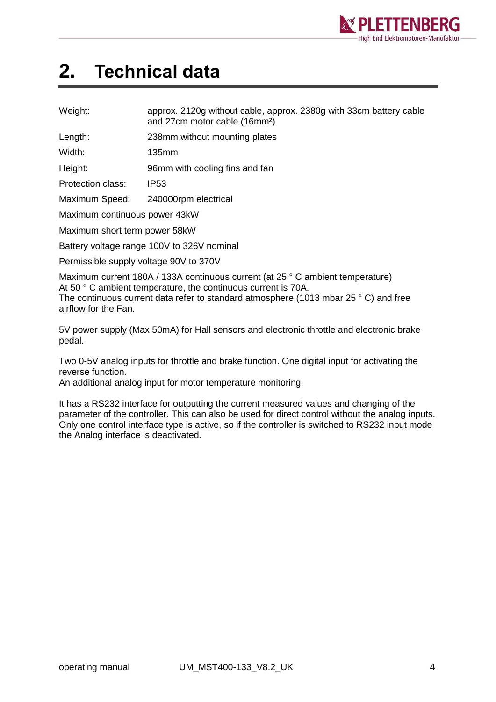

### <span id="page-3-0"></span>**2. Technical data**

| Weight: | approx. 2120g without cable, approx. 2380g with 33cm battery cable |
|---------|--------------------------------------------------------------------|
|         | and 27cm motor cable (16mm <sup>2</sup> )                          |

Length: 238mm without mounting plates

Width: 135mm

Height: 96mm with cooling fins and fan

Protection class: IP53

Maximum Speed: 240000rpm electrical

Maximum continuous power 43kW

Maximum short term power 58kW

Battery voltage range 100V to 326V nominal

Permissible supply voltage 90V to 370V

Maximum current 180A / 133A continuous current (at 25 ° C ambient temperature) At 50 ° C ambient temperature, the continuous current is 70A. The continuous current data refer to standard atmosphere (1013 mbar 25 ° C) and free airflow for the Fan.

5V power supply (Max 50mA) for Hall sensors and electronic throttle and electronic brake pedal.

Two 0-5V analog inputs for throttle and brake function. One digital input for activating the reverse function.

An additional analog input for motor temperature monitoring.

It has a RS232 interface for outputting the current measured values and changing of the parameter of the controller. This can also be used for direct control without the analog inputs. Only one control interface type is active, so if the controller is switched to RS232 input mode the Analog interface is deactivated.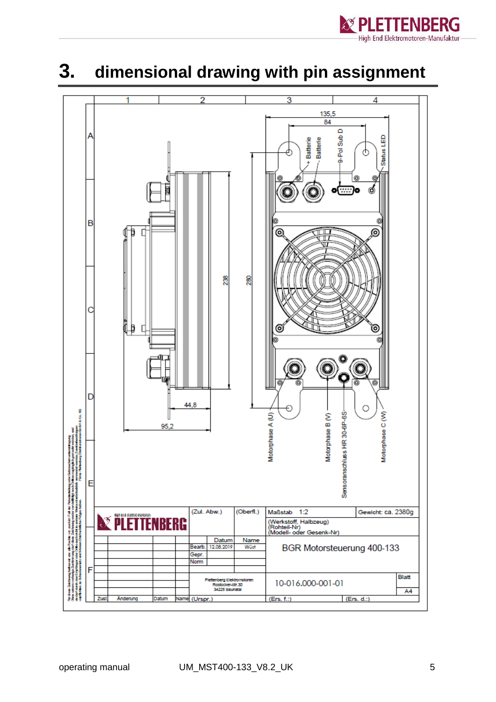

### <span id="page-4-0"></span>**3. dimensional drawing with pin assignment**

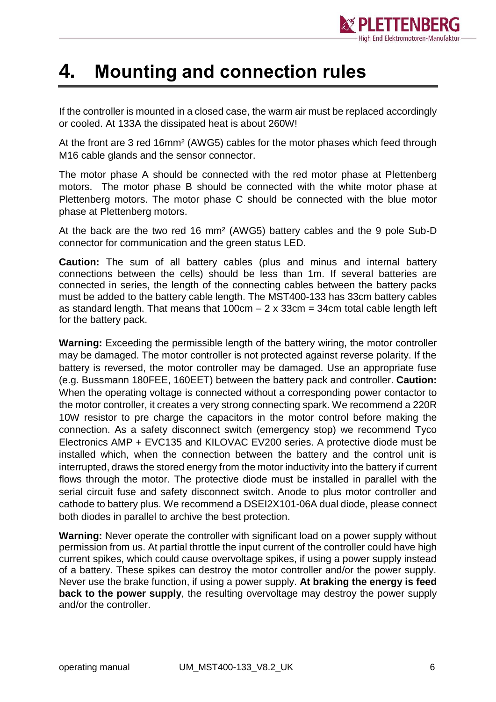

### <span id="page-5-0"></span>**4. Mounting and connection rules**

If the controller is mounted in a closed case, the warm air must be replaced accordingly or cooled. At 133A the dissipated heat is about 260W!

At the front are 3 red 16mm² (AWG5) cables for the motor phases which feed through M16 cable glands and the sensor connector.

The motor phase A should be connected with the red motor phase at Plettenberg motors. The motor phase B should be connected with the white motor phase at Plettenberg motors. The motor phase C should be connected with the blue motor phase at Plettenberg motors.

At the back are the two red 16 mm² (AWG5) battery cables and the 9 pole Sub-D connector for communication and the green status LED.

**Caution:** The sum of all battery cables (plus and minus and internal battery connections between the cells) should be less than 1m. If several batteries are connected in series, the length of the connecting cables between the battery packs must be added to the battery cable length. The MST400-133 has 33cm battery cables as standard length. That means that  $100 \text{cm} - 2 \times 33 \text{cm} = 34 \text{cm}$  total cable length left for the battery pack.

**Warning:** Exceeding the permissible length of the battery wiring, the motor controller may be damaged. The motor controller is not protected against reverse polarity. If the battery is reversed, the motor controller may be damaged. Use an appropriate fuse (e.g. Bussmann 180FEE, 160EET) between the battery pack and controller. **Caution:** When the operating voltage is connected without a corresponding power contactor to the motor controller, it creates a very strong connecting spark. We recommend a 220R 10W resistor to pre charge the capacitors in the motor control before making the connection. As a safety disconnect switch (emergency stop) we recommend Tyco Electronics AMP + EVC135 and KILOVAC EV200 series. A protective diode must be installed which, when the connection between the battery and the control unit is interrupted, draws the stored energy from the motor inductivity into the battery if current flows through the motor. The protective diode must be installed in parallel with the serial circuit fuse and safety disconnect switch. Anode to plus motor controller and cathode to battery plus. We recommend a DSEI2X101-06A dual diode, please connect both diodes in parallel to archive the best protection.

**Warning:** Never operate the controller with significant load on a power supply without permission from us. At partial throttle the input current of the controller could have high current spikes, which could cause overvoltage spikes, if using a power supply instead of a battery. These spikes can destroy the motor controller and/or the power supply. Never use the brake function, if using a power supply. **At braking the energy is feed back to the power supply**, the resulting overvoltage may destroy the power supply and/or the controller.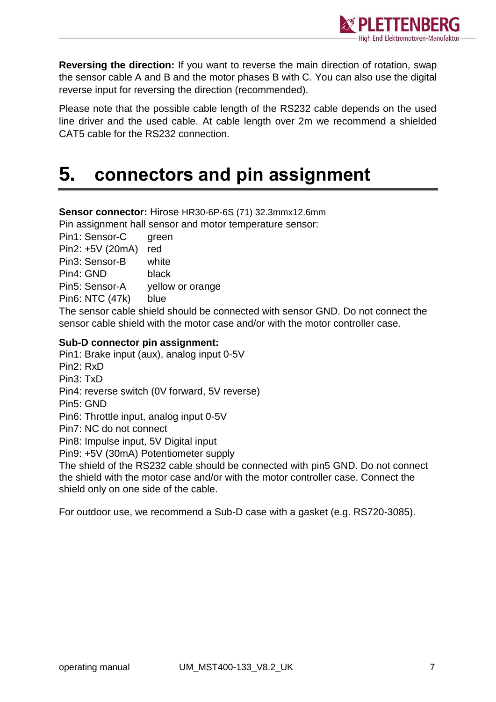

**Reversing the direction:** If you want to reverse the main direction of rotation, swap the sensor cable A and B and the motor phases B with C. You can also use the digital reverse input for reversing the direction (recommended).

Please note that the possible cable length of the RS232 cable depends on the used line driver and the used cable. At cable length over 2m we recommend a shielded CAT5 cable for the RS232 connection.

### <span id="page-6-0"></span>**5. connectors and pin assignment**

**Sensor connector:** Hirose HR30-6P-6S (71) 32.3mmx12.6mm

Pin assignment hall sensor and motor temperature sensor:

Pin1: Sensor-C green

Pin2: +5V (20mA) red

Pin3: Sensor-B white

Pin4: GND black

Pin5: Sensor-A yellow or orange

Pin6: NTC (47k) blue

The sensor cable shield should be connected with sensor GND. Do not connect the sensor cable shield with the motor case and/or with the motor controller case.

#### **Sub-D connector pin assignment:**

- Pin1: Brake input (aux), analog input 0-5V
- Pin2: RxD
- Pin3: TxD
- Pin4: reverse switch (0V forward, 5V reverse)
- Pin5: GND
- Pin6: Throttle input, analog input 0-5V
- Pin7: NC do not connect

Pin8: Impulse input, 5V Digital input

Pin9: +5V (30mA) Potentiometer supply

The shield of the RS232 cable should be connected with pin5 GND. Do not connect the shield with the motor case and/or with the motor controller case. Connect the shield only on one side of the cable.

For outdoor use, we recommend a Sub-D case with a gasket (e.g. RS720-3085).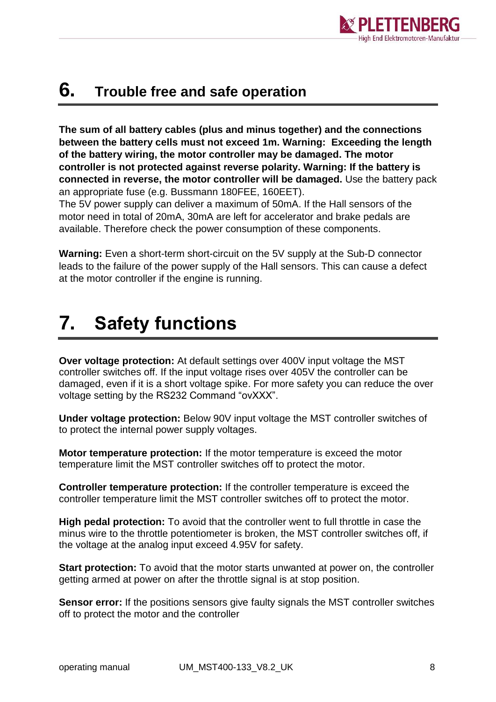

### <span id="page-7-0"></span>**6. Trouble free and safe operation**

**The sum of all battery cables (plus and minus together) and the connections between the battery cells must not exceed 1m. Warning: Exceeding the length of the battery wiring, the motor controller may be damaged. The motor controller is not protected against reverse polarity. Warning: If the battery is connected in reverse, the motor controller will be damaged.** Use the battery pack an appropriate fuse (e.g. Bussmann 180FEE, 160EET).

The 5V power supply can deliver a maximum of 50mA. If the Hall sensors of the motor need in total of 20mA, 30mA are left for accelerator and brake pedals are available. Therefore check the power consumption of these components.

**Warning:** Even a short-term short-circuit on the 5V supply at the Sub-D connector leads to the failure of the power supply of the Hall sensors. This can cause a defect at the motor controller if the engine is running.

## <span id="page-7-1"></span>**7. Safety functions**

**Over voltage protection:** At default settings over 400V input voltage the MST controller switches off. If the input voltage rises over 405V the controller can be damaged, even if it is a short voltage spike. For more safety you can reduce the over voltage setting by the RS232 Command "ovXXX".

**Under voltage protection:** Below 90V input voltage the MST controller switches of to protect the internal power supply voltages.

**Motor temperature protection:** If the motor temperature is exceed the motor temperature limit the MST controller switches off to protect the motor.

**Controller temperature protection:** If the controller temperature is exceed the controller temperature limit the MST controller switches off to protect the motor.

**High pedal protection:** To avoid that the controller went to full throttle in case the minus wire to the throttle potentiometer is broken, the MST controller switches off, if the voltage at the analog input exceed 4.95V for safety.

**Start protection:** To avoid that the motor starts unwanted at power on, the controller getting armed at power on after the throttle signal is at stop position.

**Sensor error:** If the positions sensors give faulty signals the MST controller switches off to protect the motor and the controller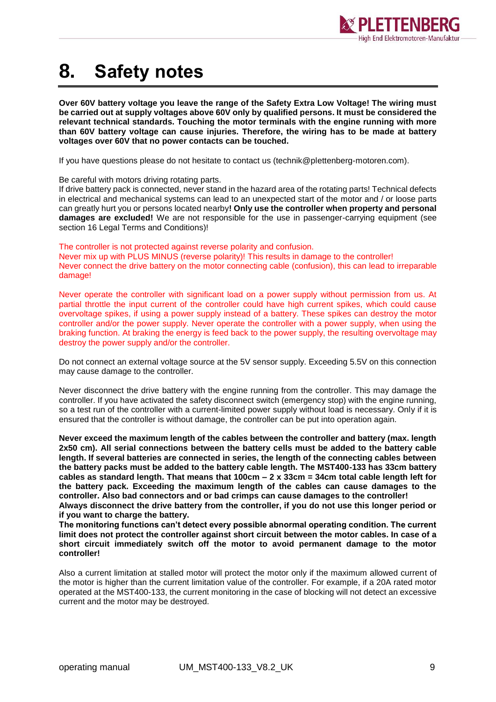

### <span id="page-8-0"></span>**8. Safety notes**

**Over 60V battery voltage you leave the range of the Safety Extra Low Voltage! The wiring must be carried out at supply voltages above 60V only by qualified persons. It must be considered the relevant technical standards. Touching the motor terminals with the engine running with more than 60V battery voltage can cause injuries. Therefore, the wiring has to be made at battery voltages over 60V that no power contacts can be touched.**

If you have questions please do not hesitate to contact us (technik@plettenberg-motoren.com).

Be careful with motors driving rotating parts.

If drive battery pack is connected, never stand in the hazard area of the rotating parts! Technical defects in electrical and mechanical systems can lead to an unexpected start of the motor and / or loose parts can greatly hurt you or persons located nearby**! Only use the controller when property and personal damages are excluded!** We are not responsible for the use in passenger-carrying equipment (see section 16 Legal Terms and Conditions)!

The controller is not protected against reverse polarity and confusion.

Never mix up with PLUS MINUS (reverse polarity)! This results in damage to the controller! Never connect the drive battery on the motor connecting cable (confusion), this can lead to irreparable damage!

Never operate the controller with significant load on a power supply without permission from us. At partial throttle the input current of the controller could have high current spikes, which could cause overvoltage spikes, if using a power supply instead of a battery. These spikes can destroy the motor controller and/or the power supply. Never operate the controller with a power supply, when using the braking function. At braking the energy is feed back to the power supply, the resulting overvoltage may destroy the power supply and/or the controller.

Do not connect an external voltage source at the 5V sensor supply. Exceeding 5.5V on this connection may cause damage to the controller.

Never disconnect the drive battery with the engine running from the controller. This may damage the controller. If you have activated the safety disconnect switch (emergency stop) with the engine running, so a test run of the controller with a current-limited power supply without load is necessary. Only if it is ensured that the controller is without damage, the controller can be put into operation again.

**Never exceed the maximum length of the cables between the controller and battery (max. length 2x50 cm). All serial connections between the battery cells must be added to the battery cable length. If several batteries are connected in series, the length of the connecting cables between the battery packs must be added to the battery cable length. The MST400-133 has 33cm battery cables as standard length. That means that 100cm – 2 x 33cm = 34cm total cable length left for the battery pack. Exceeding the maximum length of the cables can cause damages to the controller. Also bad connectors and or bad crimps can cause damages to the controller! Always disconnect the drive battery from the controller, if you do not use this longer period or if you want to charge the battery.**

**The monitoring functions can't detect every possible abnormal operating condition. The current limit does not protect the controller against short circuit between the motor cables. In case of a short circuit immediately switch off the motor to avoid permanent damage to the motor controller!**

Also a current limitation at stalled motor will protect the motor only if the maximum allowed current of the motor is higher than the current limitation value of the controller. For example, if a 20A rated motor operated at the MST400-133, the current monitoring in the case of blocking will not detect an excessive current and the motor may be destroyed.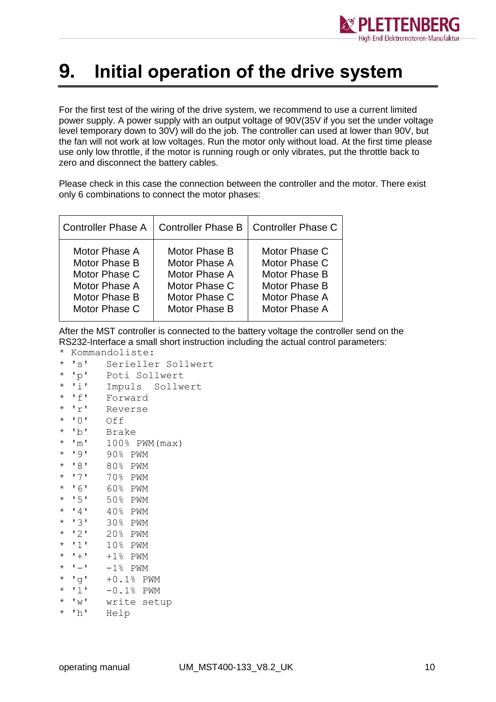

### <span id="page-9-0"></span>**9. Initial operation of the drive system**

For the first test of the wiring of the drive system, we recommend to use a current limited power supply. A power supply with an output voltage of 90V(35V if you set the under voltage level temporary down to 30V) will do the job. The controller can used at lower than 90V, but the fan will not work at low voltages. Run the motor only without load. At the first time please use only low throttle, if the motor is running rough or only vibrates, put the throttle back to zero and disconnect the battery cables.

Please check in this case the connection between the controller and the motor. There exist only 6 combinations to connect the motor phases:

| <b>Controller Phase A</b> |               | Controller Phase B   Controller Phase C |
|---------------------------|---------------|-----------------------------------------|
| Motor Phase A             | Motor Phase B | Motor Phase C                           |
| Motor Phase B             | Motor Phase A | Motor Phase C                           |
| Motor Phase C             | Motor Phase A | Motor Phase B                           |
| Motor Phase A             | Motor Phase C | Motor Phase B                           |
| Motor Phase B             | Motor Phase C | Motor Phase A                           |
| Motor Phase C             | Motor Phase B | Motor Phase A                           |

After the MST controller is connected to the battery voltage the controller send on the RS232-Interface a small short instruction including the actual control parameters:

\* Kommandoliste:

| $^\star$ | $\mathsf{I}$ s $\mathsf{I}$   | Serieller Sollwert |
|----------|-------------------------------|--------------------|
| $\star$  | $\mathbf{p}$                  | Poti Sollwert      |
|          |                               |                    |
| $^\star$ | $\mathbf{1}$ i $\mathbf{1}$   | Impuls Sollwert    |
|          | $*$ 'f'                       | Forward            |
|          | $*$ 'r'                       | Reverse            |
| $^\star$ | $\mathbf{1} \circ \mathbf{1}$ | Off                |
| $^\star$ | $\mathbf{b}$                  | <b>Brake</b>       |
| $^\star$ | $\mathsf{m}$ '                | $100\%$ PWM (max)  |
| $^\star$ | <u>'</u> 9'                   | 90% PWM            |
|          | $*$ 181                       | 80% PWM            |
|          | $*$ 171                       | 70% PWM            |
|          | $*$ $161$                     | 60% PWM            |
| $\star$  | 151                           | 50% PWM            |
|          | $\star$ $\cdot$ 4 $\cdot$     | 40% PWM            |
|          | $* 131$                       | 30% PWM            |
|          | $*$ $121$                     | 20% PWM            |
|          | $*$ $11$                      | 10% PWM            |
|          | $*$ $+$ $*$                   | $+1$ % PWM         |
| $^\star$ | $\mathbf{I} = \mathbf{I}$     | $-1$ % PWM         |
| $^\star$ | "g"                           | $+0.1$ % PWM       |
| $\star$  | 11 <sub>1</sub>               | $-0.1$ % PWM       |
| $\star$  | "w"                           | write setup        |
| $^\star$ | 'h'                           | Help               |
|          |                               |                    |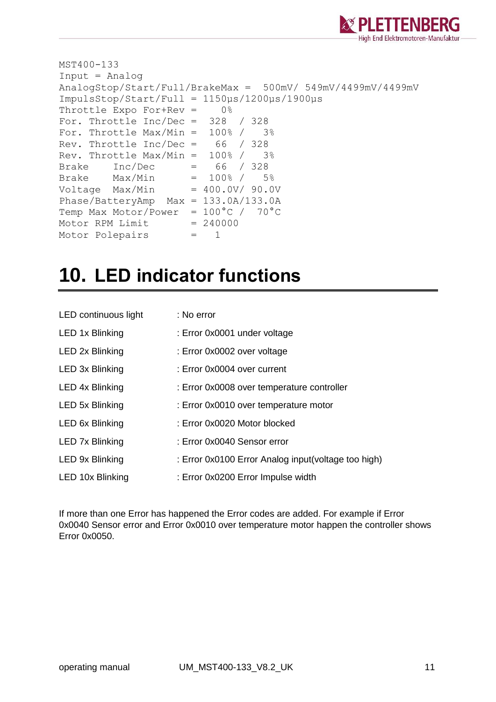

```
MST400-133
Input = Analog
AnalogStop/Start/Full/BrakeMax = 500mV/ 549mV/4499mV/4499mV
ImpulsStop/Start/Full = 1150µs/1200µs/1900µs
Throttle Expo For+Rev = 0%
For. Throttle Inc/Dec = 328 / 328
For. Throttle Max/Min = 100\% / 3\%Rev. Throttle Inc/Dec = 66 / 328
Rev. Throttle Max/Min = 100\% / 3\%Brake Inc/Dec = 66 / 328
Brake Max/Min = 100\frac{8}{7} 5%
Voltage Max/Min = 400.0V/ 90.0V
Phase/BatteryAmp Max = 133.0A/133.0A
Temp Max Motor/Power = 100°C / 70°C
Motor RPM Limit = 240000
Motor Polepairs = 1
```
### <span id="page-10-0"></span>**10. LED indicator functions**

| LED continuous light   | : No error                                          |
|------------------------|-----------------------------------------------------|
| LED 1x Blinking        | : Error 0x0001 under voltage                        |
| LED 2x Blinking        | : Error 0x0002 over voltage                         |
| LED 3x Blinking        | : Error 0x0004 over current                         |
| LED 4x Blinking        | : Error 0x0008 over temperature controller          |
| LED 5x Blinking        | : Error 0x0010 over temperature motor               |
| LED 6x Blinking        | : Error 0x0020 Motor blocked                        |
| <b>LED 7x Blinking</b> | : Error 0x0040 Sensor error                         |
| LED 9x Blinking        | : Error 0x0100 Error Analog input(voltage too high) |
| LED 10x Blinking       | : Error 0x0200 Error Impulse width                  |

If more than one Error has happened the Error codes are added. For example if Error 0x0040 Sensor error and Error 0x0010 over temperature motor happen the controller shows Error 0x0050.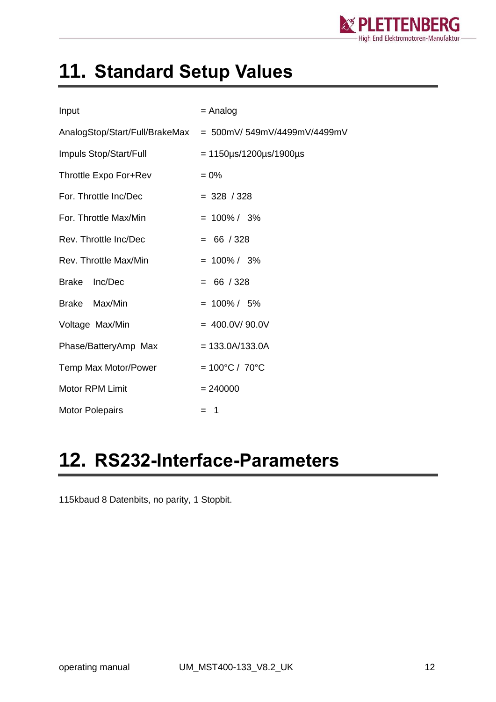

# <span id="page-11-0"></span>**11. Standard Setup Values**

| Input                   | $=$ Analog                                                 |  |  |
|-------------------------|------------------------------------------------------------|--|--|
|                         | AnalogStop/Start/Full/BrakeMax = 500mV/549mV/4499mV/4499mV |  |  |
| Impuls Stop/Start/Full  | $= 1150 \mu s / 1200 \mu s / 1900 \mu s$                   |  |  |
| Throttle Expo For+Rev   | $= 0\%$                                                    |  |  |
| For. Throttle Inc/Dec   | $= 328 / 328$                                              |  |  |
| For. Throttle Max/Min   | $= 100\% / 3\%$                                            |  |  |
| Rev. Throttle Inc/Dec   | $= 66 / 328$                                               |  |  |
| Rev. Throttle Max/Min   | $= 100\% / 3\%$                                            |  |  |
| <b>Brake</b><br>Inc/Dec | $= 66 / 328$                                               |  |  |
| Max/Min<br>Brake        | $= 100\% / 5\%$                                            |  |  |
| Voltage Max/Min         | $= 400.0 V / 90.0 V$                                       |  |  |
| Phase/BatteryAmp Max    | $= 133.0A/133.0A$                                          |  |  |
| Temp Max Motor/Power    | $= 100^{\circ}C / 70^{\circ}C$                             |  |  |
| <b>Motor RPM Limit</b>  | $= 240000$                                                 |  |  |
| <b>Motor Polepairs</b>  | $=$ 1                                                      |  |  |

## <span id="page-11-1"></span>**12. RS232-Interface-Parameters**

115kbaud 8 Datenbits, no parity, 1 Stopbit.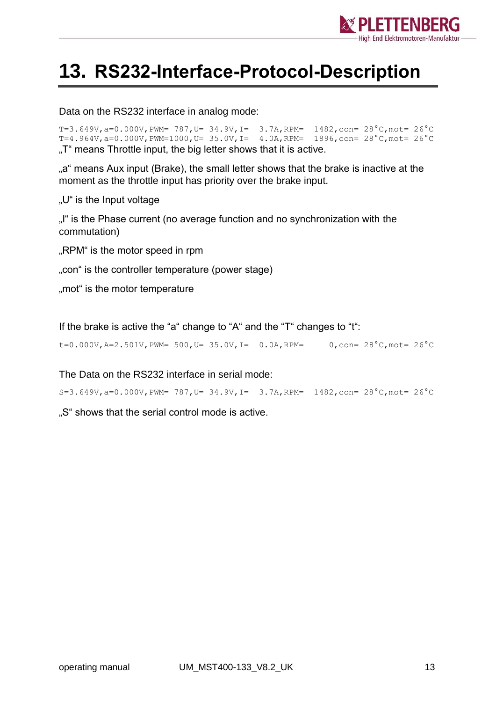

### <span id="page-12-0"></span>**13. RS232-Interface-Protocol-Description**

Data on the RS232 interface in analog mode:

T=3.649V, a=0.000V, PWM= 787, U= 34.9V, I= 3.7A, RPM=  $1482$ , con=  $28^{\circ}$ C, mot=  $26^{\circ}$ C T=4.964V, a=0.000V, PWM=1000, U= 35.0V, I= 4.0A, RPM=  $1896$ , con=  $28^{\circ}$ C, mot=  $26^{\circ}$ C ..T" means Throttle input, the big letter shows that it is active.

"a" means Aux input (Brake), the small letter shows that the brake is inactive at the moment as the throttle input has priority over the brake input.

"U" is the Input voltage

"I" is the Phase current (no average function and no synchronization with the commutation)

"RPM" is the motor speed in rpm

"con" is the controller temperature (power stage)

..mot" is the motor temperature

If the brake is active the "a" change to "A" and the "T" changes to "t":

t=0.000V, A=2.501V, PWM= 500, U= 35.0V, I= 0.0A, RPM= 0, con=  $28^{\circ}$ C, mot=  $26^{\circ}$ C

The Data on the RS232 interface in serial mode:

S=3.649V,a=0.000V,PWM= 787,U= 34.9V,I= 3.7A,RPM= 1482,con= 28°C,mot= 26°C

..S" shows that the serial control mode is active.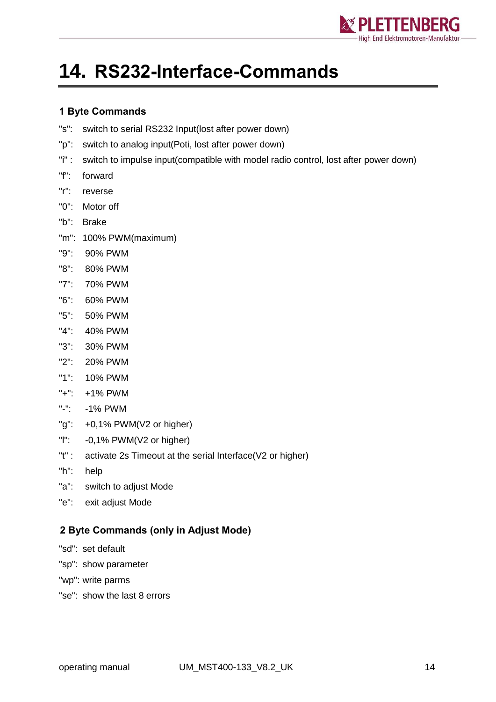

# <span id="page-13-0"></span>**14. RS232-Interface-Commands**

#### <span id="page-13-1"></span>**1 Byte Commands**

- "s": switch to serial RS232 Input(lost after power down)
- "p": switch to analog input(Poti, lost after power down)
- "i" : switch to impulse input(compatible with model radio control, lost after power down)
- "f": forward
- "r": reverse
- "0": Motor off
- "b": Brake
- "m": 100% PWM(maximum)
- "9": 90% PWM
- "8": 80% PWM
- "7": 70% PWM
- "6": 60% PWM
- "5": 50% PWM
- "4": 40% PWM
- "3": 30% PWM
- "2": 20% PWM
- "1": 10% PWM
- "+": +1% PWM
- "-": -1% PWM
- "g": +0,1% PWM(V2 or higher)
- "l": -0,1% PWM(V2 or higher)
- "t" : activate 2s Timeout at the serial Interface(V2 or higher)
- "h": help
- "a": switch to adjust Mode
- "e": exit adjust Mode

#### <span id="page-13-2"></span>**2 Byte Commands (only in Adjust Mode)**

- "sd": set default
- "sp": show parameter
- "wp": write parms
- "se": show the last 8 errors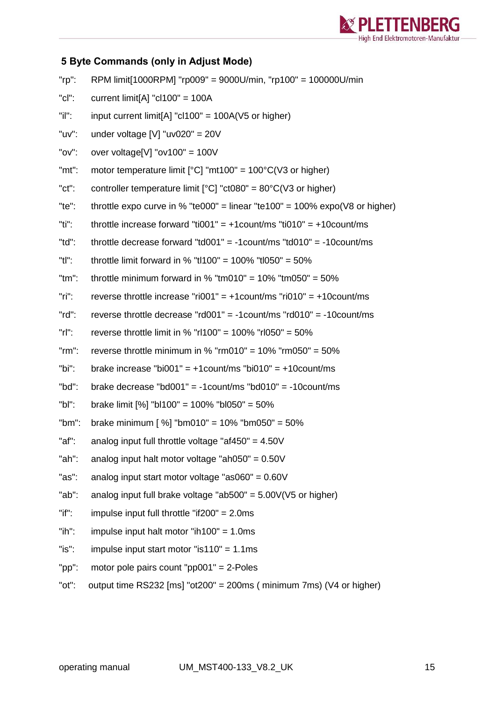

#### <span id="page-14-0"></span>**5 Byte Commands (only in Adjust Mode)**

| $"rp"$ :    | RPM limit[1000RPM] "rp009" = 9000U/min, "rp100" = 100000U/min                        |
|-------------|--------------------------------------------------------------------------------------|
| $"$ c $"$ : | current limit[A] " $c1100$ " = 100A                                                  |
| "il":       | input current limit[A] " $cl100" = 100A(V5 or higher)$                               |
| "uv":       | under voltage [V] "uv020" = $20V$                                                    |
| "ov":       | over voltage[V] " $ov100" = 100V$                                                    |
| "mt":       | motor temperature limit $[^{\circ}C]$ "mt100" = 100 $^{\circ}C$ (V3 or higher)       |
| "ct":       | controller temperature limit [ $°C$ ] "ct080" = 80°C(V3 or higher)                   |
| " $te$ ":   | throttle expo curve in % "te000" = linear "te100" = 100% expo( $\sqrt{8}$ or higher) |
| "ti":       | throttle increase forward "ti001" = +1count/ms "ti010" = +10count/ms                 |
| "td":       | throttle decrease forward "td001" = -1 count/ms "td010" = -10 count/ms               |
| "tl":       | throttle limit forward in % "tl100" = 100% "tl050" = 50%                             |
| $"tm"$ :    | throttle minimum forward in % "tm010" = $10\%$ "tm050" = $50\%$                      |
| "ri":       | reverse throttle increase "ri001" = $+1$ count/ms "ri010" = $+10$ count/ms           |
| $"rd"$ :    | reverse throttle decrease "rd001" = -1 count/ms "rd010" = -10 count/ms               |
| $"r"$ :     | reverse throttle limit in % "rl100" = 100% "rl050" = $50\%$                          |
| $"rm$ ":    | reverse throttle minimum in % " $rm 010" = 10\%$ " $rm 050" = 50\%$                  |
| "bi":       | brake increase "bi001" = $+1$ count/ms "bi010" = $+10$ count/ms                      |
| "bd":       | brake decrease "bd001" = $-1$ count/ms "bd010" = $-10$ count/ms                      |
| $"bl"$ :    | brake limit [%] "bl100" = 100% "bl050" = 50%                                         |
| " $bm$ ":   | brake minimum [ $%$ ] "bm010" = 10% "bm050" = 50%                                    |
| "af":       | analog input full throttle voltage "af450" = $4.50V$                                 |
| "ah":       | analog input halt motor voltage "ah050" = $0.50V$                                    |
| "as":       | analog input start motor voltage "as060" = $0.60V$                                   |
| "ab":       | analog input full brake voltage "ab500" = $5.00V(V5$ or higher)                      |
| "if":       | impulse input full throttle "if $200" = 2.0$ ms                                      |
| $"ih"$ :    | impulse input halt motor "ih100" = $1.0$ ms                                          |
| "is":       | impulse input start motor "is110" = $1.1$ ms                                         |

- "pp": motor pole pairs count "pp001" = 2-Poles
- "ot": output time RS232 [ms] "ot200" = 200ms ( minimum 7ms) (V4 or higher)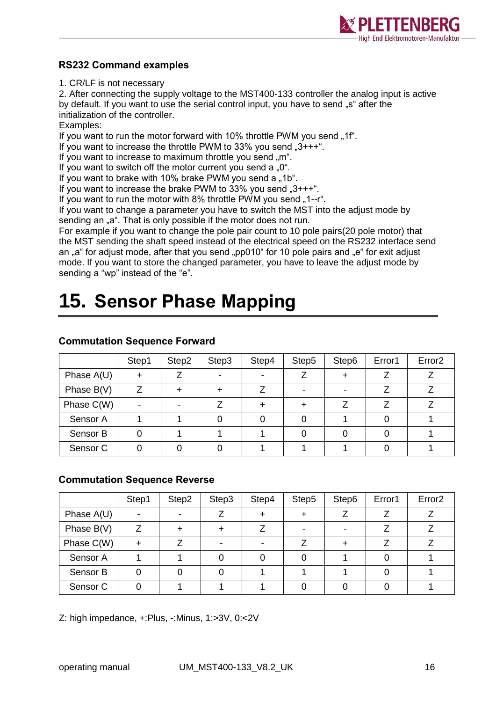

#### <span id="page-15-0"></span>**RS232 Command examples**

1. CR/LF is not necessary

2. After connecting the supply voltage to the MST400-133 controller the analog input is active by default. If you want to use the serial control input, you have to send "s" after the initialization of the controller.

Examples:

If you want to run the motor forward with 10% throttle PWM you send "1f".

If you want to increase the throttle PWM to 33% you send  $.3+++$ ".

If you want to increase to maximum throttle you send .m.".

If you want to switch off the motor current you send a  $.0^{\circ}$ .

If you want to brake with 10% brake PWM you send a "1b".

If you want to increase the brake PWM to  $33\%$  you send  $.3***$ .

If you want to run the motor with  $8\%$  throttle PWM you send  $.1 - r$ .

If you want to change a parameter you have to switch the MST into the adjust mode by sending an "a". That is only possible if the motor does not run.

For example if you want to change the pole pair count to 10 pole pairs(20 pole motor) that the MST sending the shaft speed instead of the electrical speed on the RS232 interface send an "a" for adjust mode, after that you send "pp010" for 10 pole pairs and "e" for exit adjust mode. If you want to store the changed parameter, you have to leave the adjust mode by sending a "wp" instead of the "e".

# <span id="page-15-1"></span>**15. Sensor Phase Mapping**

|                     | Step1 | Step2 | Step3 | Step4 | Step5                    | Step6 | Error1 | Error <sub>2</sub> |
|---------------------|-------|-------|-------|-------|--------------------------|-------|--------|--------------------|
| Phase $A(U)$        | ┿     |       |       |       |                          |       |        |                    |
| Phase $B(V)$        |       |       | ┿     |       | $\overline{\phantom{0}}$ |       |        |                    |
| Phase C(W)          |       |       |       |       |                          |       |        |                    |
| Sensor A            |       |       |       |       |                          |       |        |                    |
| Sensor B            |       |       |       |       |                          |       |        |                    |
| Sensor <sub>C</sub> |       |       |       |       |                          |       |        |                    |

#### <span id="page-15-2"></span>**Commutation Sequence Forward**

#### <span id="page-15-3"></span>**Commutation Sequence Reverse**

|              | Step1 | Step2 | Step3 | Step4 | Step5 | Step6 | Error1 | Error <sub>2</sub> |
|--------------|-------|-------|-------|-------|-------|-------|--------|--------------------|
| Phase $A(U)$ |       |       |       |       |       |       |        |                    |
| Phase $B(V)$ |       |       |       |       |       |       |        |                    |
| Phase C(W)   |       |       |       |       |       |       |        |                    |
| Sensor A     |       |       |       |       |       |       |        |                    |
| Sensor B     |       |       |       |       |       |       |        |                    |
| Sensor C     |       |       |       |       |       |       |        |                    |

Z: high impedance, +:Plus, -:Minus, 1:>3V, 0:<2V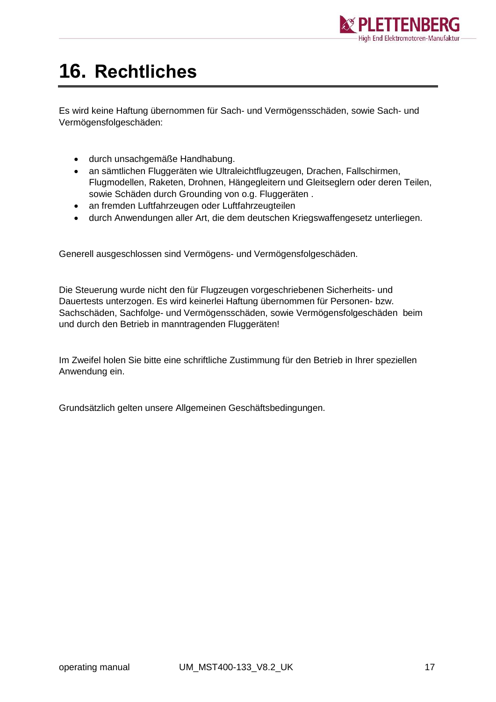

# <span id="page-16-0"></span>**16. Rechtliches**

Es wird keine Haftung übernommen für Sach- und Vermögensschäden, sowie Sach- und Vermögensfolgeschäden:

- durch unsachgemäße Handhabung.
- an sämtlichen Fluggeräten wie Ultraleichtflugzeugen, Drachen, Fallschirmen, Flugmodellen, Raketen, Drohnen, Hängegleitern und Gleitseglern oder deren Teilen, sowie Schäden durch Grounding von o.g. Fluggeräten .
- an fremden Luftfahrzeugen oder Luftfahrzeugteilen
- durch Anwendungen aller Art, die dem deutschen Kriegswaffengesetz unterliegen.

Generell ausgeschlossen sind Vermögens- und Vermögensfolgeschäden.

Die Steuerung wurde nicht den für Flugzeugen vorgeschriebenen Sicherheits- und Dauertests unterzogen. Es wird keinerlei Haftung übernommen für Personen- bzw. Sachschäden, Sachfolge- und Vermögensschäden, sowie Vermögensfolgeschäden beim und durch den Betrieb in manntragenden Fluggeräten!

Im Zweifel holen Sie bitte eine schriftliche Zustimmung für den Betrieb in Ihrer speziellen Anwendung ein.

Grundsätzlich gelten unsere Allgemeinen Geschäftsbedingungen.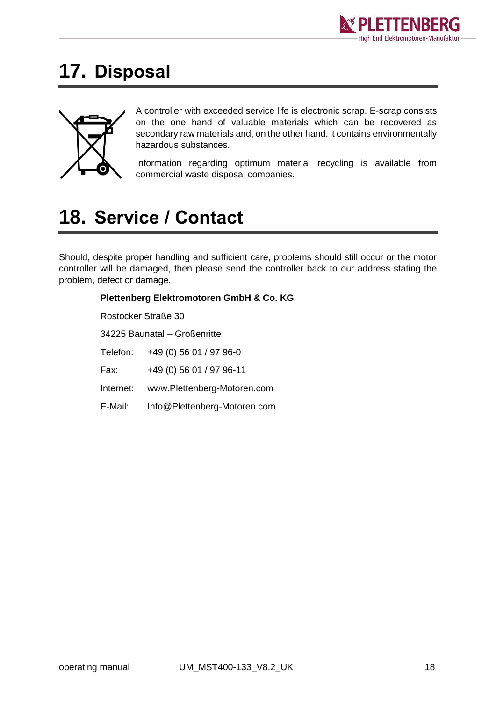

## <span id="page-17-0"></span>**17. Disposal**



A controller with exceeded service life is electronic scrap. E-scrap consists on the one hand of valuable materials which can be recovered as secondary raw materials and, on the other hand, it contains environmentally hazardous substances.

Information regarding optimum material recycling is available from commercial waste disposal companies.

# <span id="page-17-1"></span>**18. Service / Contact**

Should, despite proper handling and sufficient care, problems should still occur or the motor controller will be damaged, then please send the controller back to our address stating the problem, defect or damage.

### **Plettenberg Elektromotoren GmbH & Co. KG** Rostocker Straße 30 34225 Baunatal – Großenritte Telefon: +49 (0) 56 01 / 97 96-0 Fax: +49 (0) 56 01 / 97 96-11 Internet: www.Plettenberg-Motoren.com E-Mail: [Info@Plettenberg-Motoren.com](mailto:Info@Plettenberg-Motoren.com)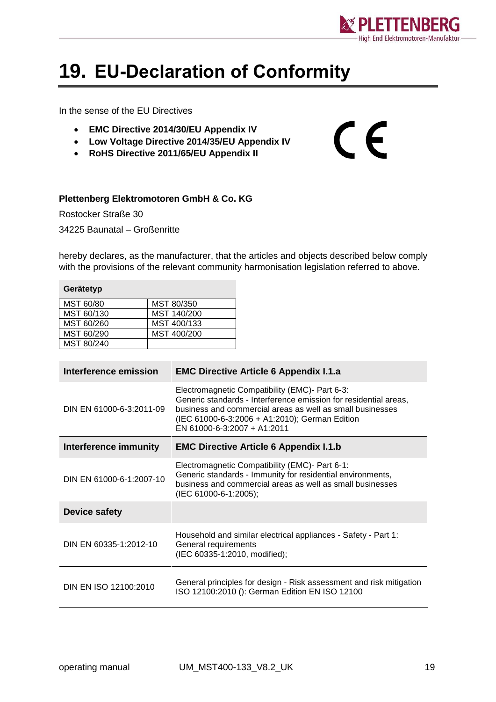

 $C \in$ 

# <span id="page-18-0"></span>**19. EU-Declaration of Conformity**

In the sense of the EU Directives

- **EMC Directive 2014/30/EU Appendix IV**
- **Low Voltage Directive 2014/35/EU Appendix IV**
- **RoHS Directive 2011/65/EU Appendix II**

#### **Plettenberg Elektromotoren GmbH & Co. KG**

Rostocker Straße 30 34225 Baunatal – Großenritte

hereby declares, as the manufacturer, that the articles and objects described below comply with the provisions of the relevant community harmonisation legislation referred to above.

| Gerätetyp  |             |
|------------|-------------|
| MST 60/80  | MST 80/350  |
| MST 60/130 | MST 140/200 |
| MST 60/260 | MST 400/133 |
| MST 60/290 | MST 400/200 |
| MST 80/240 |             |

| Interference emission    | <b>EMC Directive Article 6 Appendix I.1.a</b>                                                                                                                                                                                                                    |  |  |  |
|--------------------------|------------------------------------------------------------------------------------------------------------------------------------------------------------------------------------------------------------------------------------------------------------------|--|--|--|
| DIN EN 61000-6-3:2011-09 | Electromagnetic Compatibility (EMC)- Part 6-3:<br>Generic standards - Interference emission for residential areas,<br>business and commercial areas as well as small businesses<br>(IEC 61000-6-3:2006 + A1:2010); German Edition<br>EN 61000-6-3:2007 + A1:2011 |  |  |  |
| Interference immunity    | <b>EMC Directive Article 6 Appendix I.1.b</b>                                                                                                                                                                                                                    |  |  |  |
| DIN EN 61000-6-1:2007-10 | Electromagnetic Compatibility (EMC)- Part 6-1:<br>Generic standards - Immunity for residential environments,<br>business and commercial areas as well as small businesses<br>(IEC 61000-6-1:2005);                                                               |  |  |  |
| Device safety            |                                                                                                                                                                                                                                                                  |  |  |  |
| DIN EN 60335-1:2012-10   | Household and similar electrical appliances - Safety - Part 1:<br>General requirements<br>(IEC 60335-1:2010, modified);                                                                                                                                          |  |  |  |
| DIN EN ISO 12100:2010    | General principles for design - Risk assessment and risk mitigation<br>ISO 12100:2010 (): German Edition EN ISO 12100                                                                                                                                            |  |  |  |